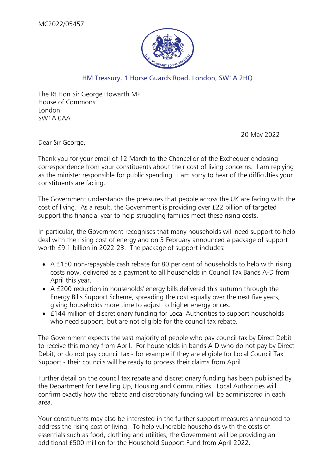

## HM Treasury, 1 Horse Guards Road, London, SW1A 2HQ

The Rt Hon Sir George Howarth MP House of Commons London SW1A 0AA

20 May 2022

Dear Sir George,

Thank you for your email of 12 March to the Chancellor of the Exchequer enclosing correspondence from your constituents about their cost of living concerns. I am replying as the minister responsible for public spending. I am sorry to hear of the difficulties your constituents are facing.

The Government understands the pressures that people across the UK are facing with the cost of living. As a result, the Government is providing over £22 billion of targeted support this financial year to help struggling families meet these rising costs.

In particular, the Government recognises that many households will need support to help deal with the rising cost of energy and on 3 February announced a package of support worth £9.1 billion in 2022-23. The package of support includes:

- A £150 non-repayable cash rebate for 80 per cent of households to help with rising costs now, delivered as a payment to all households in Council Tax Bands A-D from April this year.
- A £200 reduction in households' energy bills delivered this autumn through the Energy Bills Support Scheme, spreading the cost equally over the next five years, giving households more time to adjust to higher energy prices.
- £144 million of discretionary funding for Local Authorities to support households who need support, but are not eligible for the council tax rebate.

The Government expects the vast majority of people who pay council tax by Direct Debit to receive this money from April. For households in bands A-D who do not pay by Direct Debit, or do not pay council tax - for example if they are eligible for Local Council Tax Support - their councils will be ready to process their claims from April.

Further detail on the council tax rebate and discretionary funding has been published by the Department for Levelling Up, Housing and Communities. Local Authorities will confirm exactly how the rebate and discretionary funding will be administered in each area.

Your constituents may also be interested in the further support measures announced to address the rising cost of living. To help vulnerable households with the costs of essentials such as food, clothing and utilities, the Government will be providing an additional £500 million for the Household Support Fund from April 2022.